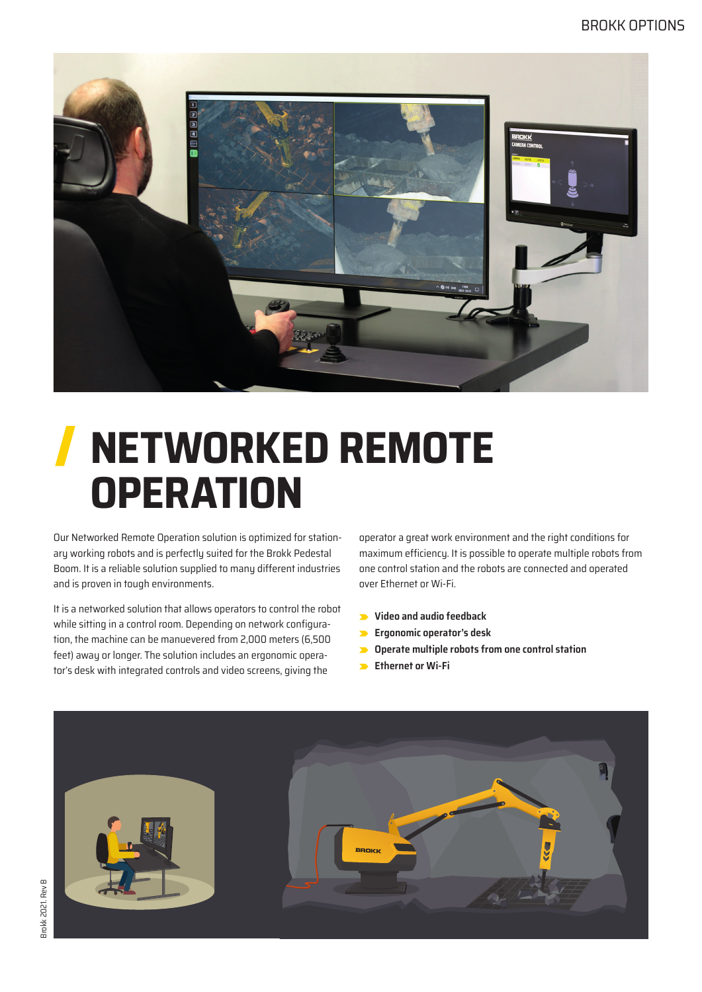

# **NETWORKED REMOTE OPERATION**

Our Networked Remote Operation solution is optimized for stationary working robots and is perfectly suited for the Brokk Pedestal Boom. It is a reliable solution supplied to many different industries and is proven in tough environments.

It is a networked solution that allows operators to control the robot while sitting in a control room. Depending on network configuration, the machine can be manuevered from 2,000 meters (6,500 feet) away or longer. The solution includes an ergonomic operator's desk with integrated controls and video screens, giving the

operator a great work environment and the right conditions for maximum efficiency. It is possible to operate multiple robots from one control station and the robots are connected and operated over Ethernet or Wi-Fi.

- **Video and audio feedback**
- **Ergonomic operator's desk**
- **Operate multiple robots from one control station**
- **Ethernet or Wi-Fi**